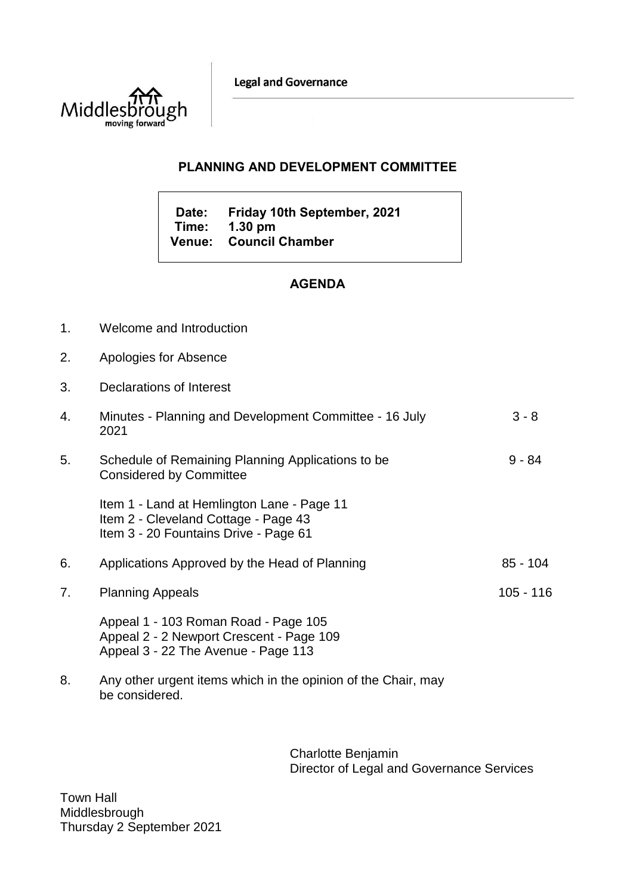**Legal and Governance** 



## **PLANNING AND DEVELOPMENT COMMITTEE**

**Date: Friday 10th September, 2021 Time: 1.30 pm Venue: Council Chamber**

## **AGENDA**

- 1. Welcome and Introduction
- 2. Apologies for Absence
- 3. Declarations of Interest

| 4. | Minutes - Planning and Development Committee - 16 July<br>2021                                                              | $3 - 8$     |
|----|-----------------------------------------------------------------------------------------------------------------------------|-------------|
| 5. | Schedule of Remaining Planning Applications to be<br><b>Considered by Committee</b>                                         | $9 - 84$    |
|    | Item 1 - Land at Hemlington Lane - Page 11<br>Item 2 - Cleveland Cottage - Page 43<br>Item 3 - 20 Fountains Drive - Page 61 |             |
| 6. | Applications Approved by the Head of Planning                                                                               | $85 - 104$  |
| 7. | <b>Planning Appeals</b>                                                                                                     | $105 - 116$ |
|    | Appeal 1 - 103 Roman Road - Page 105<br>Appeal 2 - 2 Newport Crescent - Page 109<br>Appeal 3 - 22 The Avenue - Page 113     |             |
|    |                                                                                                                             |             |

8. Any other urgent items which in the opinion of the Chair, may be considered.

> Charlotte Benjamin Director of Legal and Governance Services